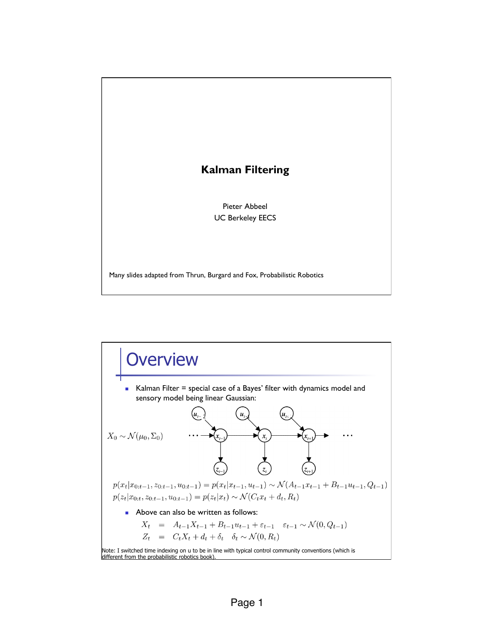

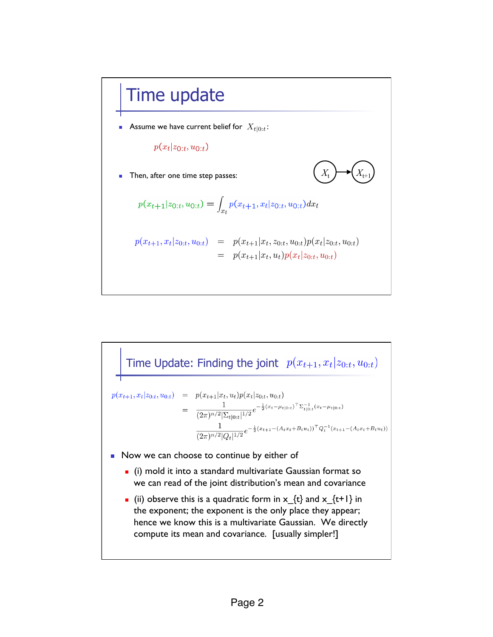

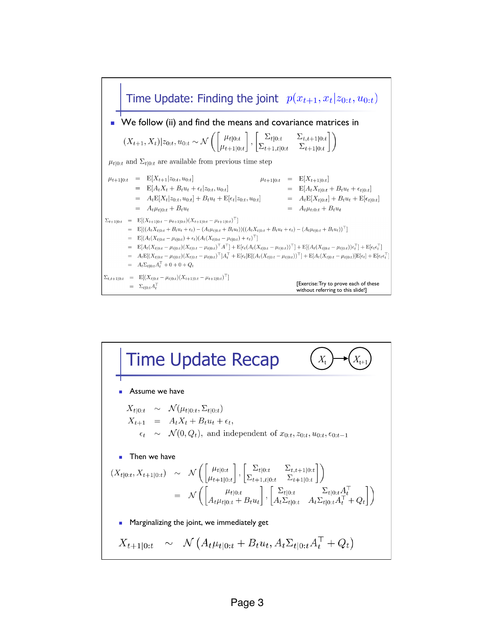

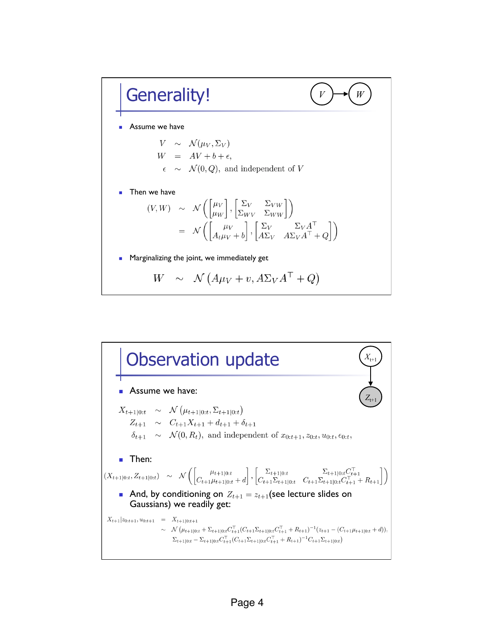

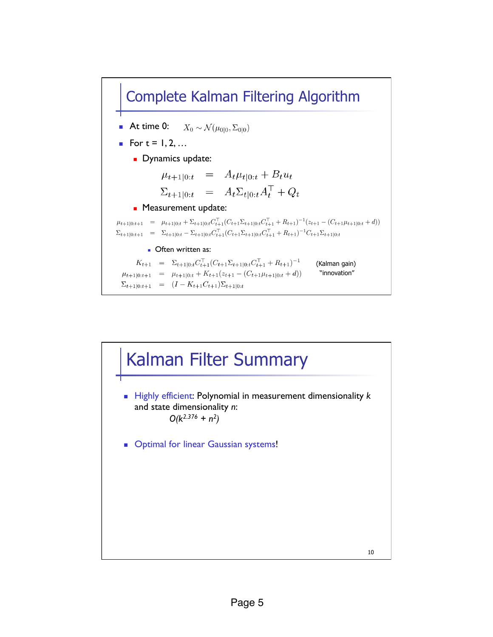